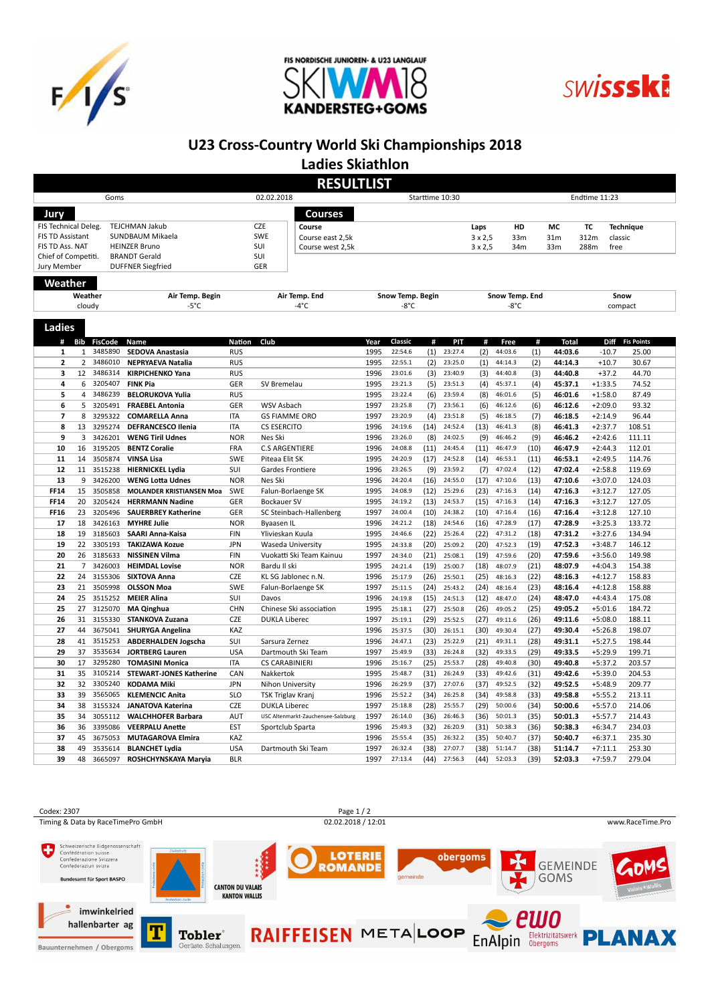





## U23 Cross-Country World Ski Championships 2018

Ladies Skiathlon

|                                               | <b>RESULTLIST</b><br>02.02.2018<br>Goms<br>Starttime 10:30<br>Endtime 11:23 |                |                                                                                                                                                                                                                                                                                                                                                                                                                                                                                                                                                                                                                                            |                                |                                    |                  |                |      |                    |                |                    |      |                 |                                 |                   |  |
|-----------------------------------------------|-----------------------------------------------------------------------------|----------------|--------------------------------------------------------------------------------------------------------------------------------------------------------------------------------------------------------------------------------------------------------------------------------------------------------------------------------------------------------------------------------------------------------------------------------------------------------------------------------------------------------------------------------------------------------------------------------------------------------------------------------------------|--------------------------------|------------------------------------|------------------|----------------|------|--------------------|----------------|--------------------|------|-----------------|---------------------------------|-------------------|--|
|                                               |                                                                             |                |                                                                                                                                                                                                                                                                                                                                                                                                                                                                                                                                                                                                                                            |                                |                                    |                  |                |      |                    |                |                    |      |                 |                                 |                   |  |
| Jury                                          |                                                                             |                |                                                                                                                                                                                                                                                                                                                                                                                                                                                                                                                                                                                                                                            |                                | Courses                            |                  |                |      |                    |                |                    |      |                 |                                 |                   |  |
| FIS Technical Deleg.<br><b>TEJCHMAN Jakub</b> |                                                                             |                |                                                                                                                                                                                                                                                                                                                                                                                                                                                                                                                                                                                                                                            | <b>CZE</b><br>Course           |                                    |                  |                |      | Laps               | HD             |                    | MC   | TC              | <b>Technique</b>                |                   |  |
| FIS TD Assistant<br>SUNDBAUM Mikaela          |                                                                             |                |                                                                                                                                                                                                                                                                                                                                                                                                                                                                                                                                                                                                                                            | <b>SWE</b><br>Course east 2,5k |                                    |                  |                |      | $3 \times 2,5$     | 33m            |                    | 31m  |                 |                                 |                   |  |
| FIS TD Ass. NAT<br><b>HEINZER Bruno</b>       |                                                                             |                |                                                                                                                                                                                                                                                                                                                                                                                                                                                                                                                                                                                                                                            |                                | SUI<br>Course west 2,5k            |                  |                |      |                    | $3 \times 2,5$ | 34m                |      | 33 <sub>m</sub> | 312m<br>classic<br>288m<br>free |                   |  |
| Chief of Competiti.                           |                                                                             |                | <b>BRANDT Gerald</b><br>Air Temp. Begin<br>$-5^{\circ}$ C<br><b>RUS</b><br><b>RUS</b><br><b>NEPRYAEVA Natalia</b><br><b>RUS</b><br><b>KIRPICHENKO Yana</b><br>GER<br><b>RUS</b><br><b>BELORUKOVA Yulia</b><br><b>FRAEBEL Antonia</b><br>GER<br><b>ITA</b><br><b>COMARELLA Anna</b><br><b>DEFRANCESCO Ilenia</b><br><b>ITA</b><br><b>NOR</b><br><b>WENG Tiril Udnes</b><br><b>BENTZ Coralie</b><br><b>FRA</b><br><b>VINSA Lisa</b><br><b>SWE</b><br><b>HIERNICKEL Lydia</b><br>SUI<br><b>WENG Lotta Udnes</b><br><b>NOR</b><br><b>MOLANDER KRISTIANSEN Moa</b><br>SWE<br>GER<br><b>HERRMANN Nadine</b><br><b>SAUERBREY Katherine</b><br>GER |                                | SUI                                |                  |                |      |                    |                |                    |      |                 |                                 |                   |  |
| Jury Member<br><b>DUFFNER Siegfried</b>       |                                                                             |                | GER                                                                                                                                                                                                                                                                                                                                                                                                                                                                                                                                                                                                                                        |                                |                                    |                  |                |      |                    |                |                    |      |                 |                                 |                   |  |
|                                               |                                                                             |                |                                                                                                                                                                                                                                                                                                                                                                                                                                                                                                                                                                                                                                            |                                |                                    |                  |                |      |                    |                |                    |      |                 |                                 |                   |  |
| Weather<br>Weather                            |                                                                             |                |                                                                                                                                                                                                                                                                                                                                                                                                                                                                                                                                                                                                                                            |                                | Air Temp. End                      | Snow Temp. Begin |                |      |                    |                | Snow Temp. End     |      |                 | Snow                            |                   |  |
| cloudy                                        |                                                                             |                |                                                                                                                                                                                                                                                                                                                                                                                                                                                                                                                                                                                                                                            |                                | $-4^{\circ}$ C                     |                  | $-8^{\circ}$ C |      |                    |                | -8°C               |      |                 | compact                         |                   |  |
|                                               |                                                                             |                |                                                                                                                                                                                                                                                                                                                                                                                                                                                                                                                                                                                                                                            |                                |                                    |                  |                |      |                    |                |                    |      |                 |                                 |                   |  |
| <b>Ladies</b>                                 |                                                                             |                |                                                                                                                                                                                                                                                                                                                                                                                                                                                                                                                                                                                                                                            |                                |                                    |                  |                |      |                    |                |                    |      |                 |                                 |                   |  |
| #                                             | Bib                                                                         | <b>FisCode</b> | Name                                                                                                                                                                                                                                                                                                                                                                                                                                                                                                                                                                                                                                       | <b>Nation</b>                  | Club                               | Year             | Classic        | #    | PIT                | #              | Free               | #    | <b>Total</b>    | <b>Diff</b>                     | <b>Fis Points</b> |  |
| $\mathbf{1}$                                  | $\mathbf{1}$                                                                | 3485890        | <b>SEDOVA Anastasia</b>                                                                                                                                                                                                                                                                                                                                                                                                                                                                                                                                                                                                                    |                                |                                    | 1995             | 22:54.6        | (1)  | 23:27.4            | (2)            | 44:03.6            | (1)  | 44:03.6         | $-10.7$                         | 25.00             |  |
| $\overline{\mathbf{2}}$                       | $\overline{2}$                                                              | 3486010        |                                                                                                                                                                                                                                                                                                                                                                                                                                                                                                                                                                                                                                            |                                |                                    | 1995             | 22:55.1        | (2)  | 23:25.0            | (1)            | 44:14.3            | (2)  | 44:14.3         | $+10.7$                         | 30.67             |  |
| 3                                             | 12                                                                          | 3486314        |                                                                                                                                                                                                                                                                                                                                                                                                                                                                                                                                                                                                                                            |                                |                                    | 1996             | 23:01.6        | (3)  | 23:40.9            | (3)            | 44:40.8            | (3)  | 44:40.8         | $+37.2$                         | 44.70             |  |
| 4                                             |                                                                             | 6 3205407      | <b>FINK Pia</b>                                                                                                                                                                                                                                                                                                                                                                                                                                                                                                                                                                                                                            |                                | SV Bremelau                        | 1995             | 23:21.3        | (5)  | 23:51.3            | (4)            | 45:37.1            | (4)  | 45:37.1         | $+1:33.5$                       | 74.52             |  |
| 5                                             | $\overline{4}$                                                              | 3486239        |                                                                                                                                                                                                                                                                                                                                                                                                                                                                                                                                                                                                                                            |                                |                                    | 1995             | 23:22.4        | (6)  | 23:59.4            | (8)            | 46:01.6            | (5)  | 46:01.6         | $+1:58.0$                       | 87.49             |  |
| 6                                             | 5                                                                           | 3205491        |                                                                                                                                                                                                                                                                                                                                                                                                                                                                                                                                                                                                                                            |                                | WSV Asbach                         | 1997             | 23:25.8        | (7)  | 23:56.1            | (6)            | 46:12.6            | (6)  | 46:12.6         | $+2:09.0$                       | 93.32             |  |
| $\overline{7}$                                | 8                                                                           | 3295322        |                                                                                                                                                                                                                                                                                                                                                                                                                                                                                                                                                                                                                                            |                                | <b>GS FIAMME ORO</b>               | 1997             | 23:20.9        | (4)  | 23:51.8            | (5)            | 46:18.5            | (7)  | 46:18.5         | $+2:14.9$                       | 96.44             |  |
| 8                                             | 13                                                                          | 3295274        |                                                                                                                                                                                                                                                                                                                                                                                                                                                                                                                                                                                                                                            |                                | <b>CS ESERCITO</b>                 | 1996             | 24:19.6        | (14) | 24:52.4            | (13)           | 46:41.3            | (8)  | 46:41.3         | $+2:37.7$                       | 108.51            |  |
| 9                                             | 3                                                                           | 3426201        |                                                                                                                                                                                                                                                                                                                                                                                                                                                                                                                                                                                                                                            |                                | Nes Ski                            | 1996             | 23:26.0        | (8)  | 24:02.5            | (9)            | 46:46.2            | (9)  | 46:46.2         | $+2:42.6$                       | 111.11            |  |
| 10                                            | 16                                                                          | 3195205        |                                                                                                                                                                                                                                                                                                                                                                                                                                                                                                                                                                                                                                            |                                | <b>C.S ARGENTIERE</b>              | 1996             | 24:08.8        | (11) | 24:45.4            | (11)           | 46:47.9            | (10) | 46:47.9         | $+2:44.3$                       | 112.01            |  |
|                                               |                                                                             | 3505874        |                                                                                                                                                                                                                                                                                                                                                                                                                                                                                                                                                                                                                                            |                                |                                    |                  | 24:20.9        |      |                    |                |                    |      |                 |                                 |                   |  |
| 11<br>12                                      | 14<br>11                                                                    | 3515238        |                                                                                                                                                                                                                                                                                                                                                                                                                                                                                                                                                                                                                                            |                                | Piteaa Elit SK                     | 1995<br>1996     | 23:26.5        | (17) | 24:52.8<br>23:59.2 | (14)           | 46:53.1<br>47:02.4 | (11) | 46:53.1         | $+2:49.5$                       | 114.76            |  |
|                                               | 9                                                                           | 3426200        |                                                                                                                                                                                                                                                                                                                                                                                                                                                                                                                                                                                                                                            |                                | Gardes Frontiere                   |                  |                | (9)  |                    | (7)            |                    | (12) | 47:02.4         | $+2:58.8$                       | 119.69            |  |
| 13                                            |                                                                             | 3505858        |                                                                                                                                                                                                                                                                                                                                                                                                                                                                                                                                                                                                                                            |                                | Nes Ski                            | 1996             | 24:20.4        | (16) | 24:55.0            | (17)           | 47:10.6            | (13) | 47:10.6         | $+3:07.0$                       | 124.03            |  |
| <b>FF14</b>                                   | 15                                                                          |                |                                                                                                                                                                                                                                                                                                                                                                                                                                                                                                                                                                                                                                            |                                | Falun-Borlaenge SK                 | 1995             | 24:08.9        | (12) | 25:29.6            | (23)           | 47:16.3            | (14) | 47:16.3         | $+3:12.7$                       | 127.05            |  |
| <b>FF14</b>                                   | 20                                                                          | 3205424        |                                                                                                                                                                                                                                                                                                                                                                                                                                                                                                                                                                                                                                            |                                | <b>Bockauer SV</b>                 | 1995             | 24:19.2        | (13) | 24:53.7            | (15)           | 47:16.3            | (14) | 47:16.3         | $+3:12.7$                       | 127.05            |  |
| <b>FF16</b>                                   | 23                                                                          | 3205496        |                                                                                                                                                                                                                                                                                                                                                                                                                                                                                                                                                                                                                                            |                                | SC Steinbach-Hallenberg            | 1997             | 24:00.4        | (10) | 24:38.2            | (10)           | 47:16.4            | (16) | 47:16.4         | $+3:12.8$                       | 127.10            |  |
| 17                                            | 18                                                                          | 3426163        | <b>MYHRE Julie</b>                                                                                                                                                                                                                                                                                                                                                                                                                                                                                                                                                                                                                         | <b>NOR</b>                     | Byaasen IL                         | 1996             | 24:21.2        | (18) | 24:54.6            | (16)           | 47:28.9            | (17) | 47:28.9         | $+3:25.3$                       | 133.72            |  |
| 18                                            | 19                                                                          | 3185603        | <b>SAARI Anna-Kaisa</b>                                                                                                                                                                                                                                                                                                                                                                                                                                                                                                                                                                                                                    | <b>FIN</b>                     | Ylivieskan Kuula                   | 1995             | 24:46.6        | (22) | 25:26.4            | (22)           | 47:31.2            | (18) | 47:31.2         | $+3:27.6$                       | 134.94            |  |
| 19                                            | 22                                                                          | 3305193        | <b>TAKIZAWA Kozue</b>                                                                                                                                                                                                                                                                                                                                                                                                                                                                                                                                                                                                                      | <b>JPN</b>                     | Waseda University                  | 1995             | 24:33.8        | (20) | 25:09.2            | (20)           | 47:52.3            | (19) | 47:52.3         | $+3:48.7$                       | 146.12            |  |
| 20                                            | 26                                                                          | 3185633        | <b>NISSINEN Vilma</b>                                                                                                                                                                                                                                                                                                                                                                                                                                                                                                                                                                                                                      | <b>FIN</b>                     | Vuokatti Ski Team Kainuu           | 1997             | 24:34.0        | (21) | 25:08.1            | (19)           | 47:59.6            | (20) | 47:59.6         | $+3:56.0$                       | 149.98            |  |
| 21                                            | $\overline{7}$                                                              | 3426003        | <b>HEIMDAL Lovise</b>                                                                                                                                                                                                                                                                                                                                                                                                                                                                                                                                                                                                                      | <b>NOR</b>                     | Bardu II ski                       | 1995             | 24:21.4        | (19) | 25:00.7            | (18)           | 48:07.9            | (21) | 48:07.9         | $+4:04.3$                       | 154.38            |  |
| 22                                            | 24                                                                          | 3155306        | <b>SIXTOVA Anna</b>                                                                                                                                                                                                                                                                                                                                                                                                                                                                                                                                                                                                                        | <b>CZE</b>                     | KL SG Jablonec n.N.                | 1996             | 25:17.9        | (26) | 25:50.1            | (25)           | 48:16.3            | (22) | 48:16.3         | $+4:12.7$                       | 158.83            |  |
| 23                                            | 21                                                                          | 3505998        | <b>OLSSON Moa</b>                                                                                                                                                                                                                                                                                                                                                                                                                                                                                                                                                                                                                          | <b>SWE</b>                     | Falun-Borlaenge SK                 | 1997             | 25:11.5        | (24) | 25:43.2            | (24)           | 48:16.4            | (23) | 48:16.4         | $+4:12.8$                       | 158.88            |  |
| 24                                            | 25                                                                          | 3515252        | <b>MEIER Alina</b>                                                                                                                                                                                                                                                                                                                                                                                                                                                                                                                                                                                                                         | SUI                            | Davos                              | 1996             | 24:19.8        | (15) | 24:51.3            | (12)           | 48:47.0            | (24) | 48:47.0         | $+4:43.4$                       | 175.08            |  |
| 25                                            | 27                                                                          | 3125070        | <b>MA Qinghua</b>                                                                                                                                                                                                                                                                                                                                                                                                                                                                                                                                                                                                                          | <b>CHN</b>                     | Chinese Ski association            | 1995             | 25:18.1        | (27) | 25:50.8            | (26)           | 49:05.2            | (25) | 49:05.2         | $+5:01.6$                       | 184.72            |  |
| 26                                            | 31                                                                          | 3155330        | <b>STANKOVA Zuzana</b>                                                                                                                                                                                                                                                                                                                                                                                                                                                                                                                                                                                                                     | <b>CZE</b>                     | <b>DUKLA Liberec</b>               | 1997             | 25:19.1        | (29) | 25:52.5            | (27)           | 49:11.6            | (26) | 49:11.6         | $+5:08.0$                       | 188.11            |  |
| 27                                            | 44                                                                          | 3675041        | <b>SHURYGA Angelina</b>                                                                                                                                                                                                                                                                                                                                                                                                                                                                                                                                                                                                                    | KAZ                            |                                    | 1996             | 25:37.5        | (30) | 26:15.1            | (30)           | 49:30.4            | (27) | 49:30.4         | $+5:26.8$                       | 198.07            |  |
| 28                                            | 41                                                                          | 3515253        | <b>ABDERHALDEN Jogscha</b>                                                                                                                                                                                                                                                                                                                                                                                                                                                                                                                                                                                                                 | SUI                            | Sarsura Zernez                     | 1996             | 24:47.1        | (23) | 25:22.9            | (21)           | 49:31.1            | (28) | 49:31.1         | $+5:27.5$                       | 198.44            |  |
| 29                                            | 37                                                                          | 3535634        | <b>JORTBERG Lauren</b>                                                                                                                                                                                                                                                                                                                                                                                                                                                                                                                                                                                                                     | <b>USA</b>                     | Dartmouth Ski Team                 | 1997             | 25:49.9        | (33) | 26:24.8            | (32)           | 49:33.5            | (29) | 49:33.5         | $+5:29.9$                       | 199.71            |  |
| 30                                            | 17                                                                          | 3295280        | <b>TOMASINI Monica</b>                                                                                                                                                                                                                                                                                                                                                                                                                                                                                                                                                                                                                     | <b>ITA</b>                     | <b>CS CARABINIERI</b>              | 1996             | 25:16.7        | (25) | 25:53.7            | (28)           | 49:40.8            | (30) | 49:40.8         | $+5:37.2$                       | 203.57            |  |
| 31                                            | 35                                                                          | 3105214        | <b>STEWART-JONES Katherine</b>                                                                                                                                                                                                                                                                                                                                                                                                                                                                                                                                                                                                             | CAN                            | Nakkertok                          | 1995             | 25:48.7        | (31) | 26:24.9            | (33)           | 49:42.6            | (31) | 49:42.6         | $+5:39.0$                       | 204.53            |  |
| 32                                            | 32                                                                          | 3305240        | <b>KODAMA Miki</b>                                                                                                                                                                                                                                                                                                                                                                                                                                                                                                                                                                                                                         | <b>JPN</b>                     | Nihon University                   | 1996             | 26:29.9        | (37) | 27:07.6            | (37)           | 49:52.5            | (32) | 49:52.5         | $+5:48.9$                       | 209.77            |  |
| 33                                            | 39                                                                          | 3565065        | <b>KLEMENCIC Anita</b>                                                                                                                                                                                                                                                                                                                                                                                                                                                                                                                                                                                                                     | <b>SLO</b>                     | <b>TSK Triglav Kranj</b>           | 1996             | 25:52.2        | (34) | 26:25.8            | (34)           | 49:58.8            | (33) | 49:58.8         | $+5:55.2$                       | 213.11            |  |
| 34                                            | 38                                                                          | 3155324        | <b>JANATOVA Katerina</b>                                                                                                                                                                                                                                                                                                                                                                                                                                                                                                                                                                                                                   | <b>CZE</b>                     | <b>DUKLA Liberec</b>               | 1997             | 25:18.8        | (28) | 25:55.7            | (29)           | 50:00.6            | (34) | 50:00.6         | $+5:57.0$                       | 214.06            |  |
| 35                                            | 34                                                                          | 3055112        | <b>WALCHHOFER Barbara</b>                                                                                                                                                                                                                                                                                                                                                                                                                                                                                                                                                                                                                  | AUT                            | USC Altenmarkt-Zauchensee-Salzburg | 1997             | 26:14.0        | (36) | 26:46.3            | (36)           | 50:01.3            | (35) | 50:01.3         | $+5:57.7$                       | 214.43            |  |
| 36                                            | 36                                                                          | 3395086        | <b>VEERPALU Anette</b>                                                                                                                                                                                                                                                                                                                                                                                                                                                                                                                                                                                                                     | <b>EST</b>                     | Sportclub Sparta                   | 1996             | 25:49.3        | (32) | 26:20.9            | (31)           | 50:38.3            | (36) | 50:38.3         | $+6:34.7$                       | 234.03            |  |
| 37                                            | 45                                                                          | 3675053        | <b>MUTAGAROVA Elmira</b>                                                                                                                                                                                                                                                                                                                                                                                                                                                                                                                                                                                                                   | KAZ                            |                                    | 1996             | 25:55.4        | (35) | 26:32.2            | (35)           | 50:40.7            | (37) | 50:40.7         | $+6:37.1$                       | 235.30            |  |
| 38                                            | 49                                                                          | 3535614        | <b>BLANCHET Lydia</b>                                                                                                                                                                                                                                                                                                                                                                                                                                                                                                                                                                                                                      | <b>USA</b>                     | Dartmouth Ski Team                 | 1997             | 26:32.4        | (38) | 27:07.7            | (38)           | 51:14.7            | (38) | 51:14.7         | $+7:11.1$                       | 253.30            |  |
| 39                                            | 48                                                                          | 3665097        | ROSHCHYNSKAYA Maryia                                                                                                                                                                                                                                                                                                                                                                                                                                                                                                                                                                                                                       | <b>BLR</b>                     |                                    | 1997             | 27:13.4        | (44) | 27:56.3            | (44)           | 52:03.3            | (39) | 52:03.3         | $+7:59.7$                       | 279.04            |  |